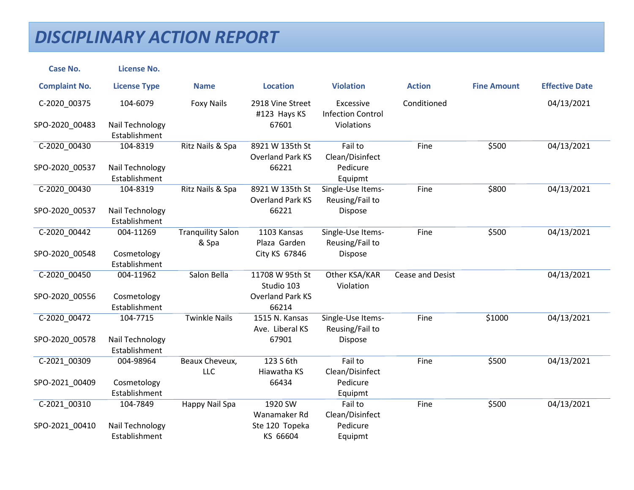| <b>Case No.</b>      | <b>License No.</b>               |                                   |                                            |                                       |                         |                    |                       |
|----------------------|----------------------------------|-----------------------------------|--------------------------------------------|---------------------------------------|-------------------------|--------------------|-----------------------|
| <b>Complaint No.</b> | <b>License Type</b>              | <b>Name</b>                       | <b>Location</b>                            | <b>Violation</b>                      | <b>Action</b>           | <b>Fine Amount</b> | <b>Effective Date</b> |
| C-2020_00375         | 104-6079                         | <b>Foxy Nails</b>                 | 2918 Vine Street<br>#123 Hays KS           | Excessive<br><b>Infection Control</b> | Conditioned             |                    | 04/13/2021            |
| SPO-2020_00483       | Nail Technology<br>Establishment |                                   | 67601                                      | Violations                            |                         |                    |                       |
| C-2020_00430         | 104-8319                         | Ritz Nails & Spa                  | 8921 W 135th St<br><b>Overland Park KS</b> | Fail to<br>Clean/Disinfect            | Fine                    | \$500              | 04/13/2021            |
| SPO-2020_00537       | Nail Technology<br>Establishment |                                   | 66221                                      | Pedicure<br>Equipmt                   |                         |                    |                       |
| C-2020 00430         | 104-8319                         | Ritz Nails & Spa                  | 8921 W 135th St<br><b>Overland Park KS</b> | Single-Use Items-<br>Reusing/Fail to  | Fine                    | \$800              | 04/13/2021            |
| SPO-2020_00537       | Nail Technology<br>Establishment |                                   | 66221                                      | Dispose                               |                         |                    |                       |
| C-2020_00442         | 004-11269                        | <b>Tranquility Salon</b><br>& Spa | 1103 Kansas<br>Plaza Garden                | Single-Use Items-<br>Reusing/Fail to  | Fine                    | \$500              | 04/13/2021            |
| SPO-2020_00548       | Cosmetology<br>Establishment     |                                   | City KS 67846                              | Dispose                               |                         |                    |                       |
| C-2020_00450         | 004-11962                        | Salon Bella                       | 11708 W 95th St<br>Studio 103              | Other KSA/KAR<br>Violation            | <b>Cease and Desist</b> |                    | 04/13/2021            |
| SPO-2020_00556       | Cosmetology<br>Establishment     |                                   | <b>Overland Park KS</b><br>66214           |                                       |                         |                    |                       |
| C-2020_00472         | 104-7715                         | <b>Twinkle Nails</b>              | 1515 N. Kansas<br>Ave. Liberal KS          | Single-Use Items-<br>Reusing/Fail to  | Fine                    | \$1000             | 04/13/2021            |
| SPO-2020 00578       | Nail Technology<br>Establishment |                                   | 67901                                      | Dispose                               |                         |                    |                       |
| C-2021 00309         | 004-98964                        | Beaux Cheveux,<br><b>LLC</b>      | 123 S 6th<br>Hiawatha KS                   | Fail to<br>Clean/Disinfect            | Fine                    | \$500              | 04/13/2021            |
| SPO-2021_00409       | Cosmetology<br>Establishment     |                                   | 66434                                      | Pedicure<br>Equipmt                   |                         |                    |                       |
| C-2021 00310         | 104-7849                         | Happy Nail Spa                    | 1920 SW<br>Wanamaker Rd                    | Fail to<br>Clean/Disinfect            | Fine                    | \$500              | 04/13/2021            |
| SPO-2021_00410       | Nail Technology<br>Establishment |                                   | Ste 120 Topeka<br>KS 66604                 | Pedicure<br>Equipmt                   |                         |                    |                       |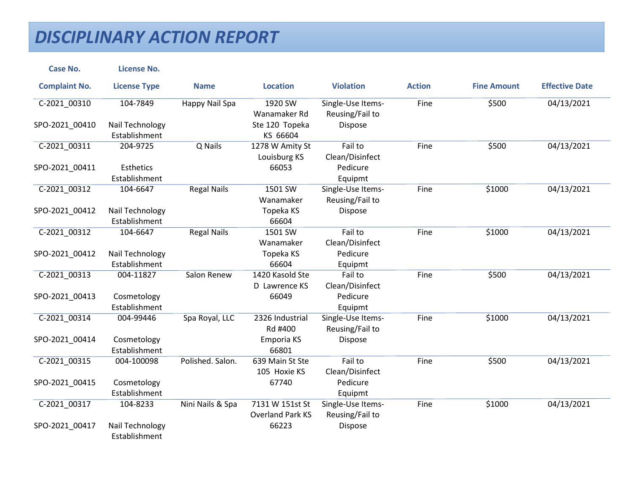| <b>Case No.</b>      | <b>License No.</b>  |                    |                         |                   |               |                    |                       |
|----------------------|---------------------|--------------------|-------------------------|-------------------|---------------|--------------------|-----------------------|
| <b>Complaint No.</b> | <b>License Type</b> | <b>Name</b>        | <b>Location</b>         | <b>Violation</b>  | <b>Action</b> | <b>Fine Amount</b> | <b>Effective Date</b> |
| C-2021_00310         | 104-7849            | Happy Nail Spa     | 1920 SW                 | Single-Use Items- | Fine          | \$500              | 04/13/2021            |
|                      |                     |                    | Wanamaker Rd            | Reusing/Fail to   |               |                    |                       |
| SPO-2021 00410       | Nail Technology     |                    | Ste 120 Topeka          | Dispose           |               |                    |                       |
|                      | Establishment       |                    | KS 66604                |                   |               |                    |                       |
| C-2021_00311         | 204-9725            | Q Nails            | 1278 W Amity St         | Fail to           | Fine          | \$500              | 04/13/2021            |
|                      |                     |                    | Louisburg KS            | Clean/Disinfect   |               |                    |                       |
| SPO-2021_00411       | Esthetics           |                    | 66053                   | Pedicure          |               |                    |                       |
|                      | Establishment       |                    |                         | Equipmt           |               |                    |                       |
| C-2021 00312         | 104-6647            | <b>Regal Nails</b> | 1501 SW                 | Single-Use Items- | Fine          | \$1000             | 04/13/2021            |
|                      |                     |                    | Wanamaker               | Reusing/Fail to   |               |                    |                       |
| SPO-2021_00412       | Nail Technology     |                    | Topeka KS               | Dispose           |               |                    |                       |
|                      | Establishment       |                    | 66604                   |                   |               |                    |                       |
| C-2021 00312         | 104-6647            | <b>Regal Nails</b> | 1501 SW                 | Fail to           | Fine          | \$1000             | 04/13/2021            |
|                      |                     |                    | Wanamaker               | Clean/Disinfect   |               |                    |                       |
| SPO-2021 00412       | Nail Technology     |                    | Topeka KS               | Pedicure          |               |                    |                       |
|                      | Establishment       |                    | 66604                   | Equipmt           |               |                    |                       |
| C-2021 00313         | 004-11827           | Salon Renew        | 1420 Kasold Ste         | Fail to           | Fine          | \$500              | 04/13/2021            |
|                      |                     |                    | D Lawrence KS           | Clean/Disinfect   |               |                    |                       |
| SPO-2021_00413       | Cosmetology         |                    | 66049                   | Pedicure          |               |                    |                       |
|                      | Establishment       |                    |                         | Equipmt           |               |                    |                       |
| C-2021 00314         | 004-99446           | Spa Royal, LLC     | 2326 Industrial         | Single-Use Items- | Fine          | \$1000             | 04/13/2021            |
|                      |                     |                    | Rd #400                 | Reusing/Fail to   |               |                    |                       |
| SPO-2021_00414       | Cosmetology         |                    | Emporia KS              | Dispose           |               |                    |                       |
|                      | Establishment       |                    | 66801                   |                   |               |                    |                       |
| C-2021 00315         | 004-100098          | Polished. Salon.   | 639 Main St Ste         | Fail to           | Fine          | \$500              | 04/13/2021            |
|                      |                     |                    | 105 Hoxie KS            | Clean/Disinfect   |               |                    |                       |
| SPO-2021 00415       | Cosmetology         |                    | 67740                   | Pedicure          |               |                    |                       |
|                      | Establishment       |                    |                         | Equipmt           |               |                    |                       |
| C-2021 00317         | 104-8233            | Nini Nails & Spa   | 7131 W 151st St         | Single-Use Items- | Fine          | \$1000             | 04/13/2021            |
|                      |                     |                    | <b>Overland Park KS</b> | Reusing/Fail to   |               |                    |                       |
| SPO-2021_00417       | Nail Technology     |                    | 66223                   | Dispose           |               |                    |                       |
|                      | Establishment       |                    |                         |                   |               |                    |                       |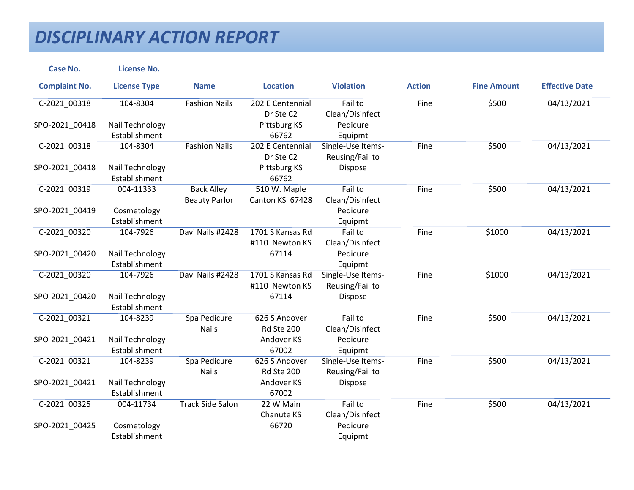| <b>Case No.</b>      | <b>License No.</b>  |                         |                  |                   |               |                    |                       |
|----------------------|---------------------|-------------------------|------------------|-------------------|---------------|--------------------|-----------------------|
| <b>Complaint No.</b> | <b>License Type</b> | <b>Name</b>             | <b>Location</b>  | <b>Violation</b>  | <b>Action</b> | <b>Fine Amount</b> | <b>Effective Date</b> |
| C-2021_00318         | 104-8304            | <b>Fashion Nails</b>    | 202 E Centennial | Fail to           | Fine          | \$500              | 04/13/2021            |
|                      |                     |                         | Dr Ste C2        | Clean/Disinfect   |               |                    |                       |
| SPO-2021_00418       | Nail Technology     |                         | Pittsburg KS     | Pedicure          |               |                    |                       |
|                      | Establishment       |                         | 66762            | Equipmt           |               |                    |                       |
| C-2021_00318         | 104-8304            | <b>Fashion Nails</b>    | 202 E Centennial | Single-Use Items- | Fine          | \$500              | 04/13/2021            |
|                      |                     |                         | Dr Ste C2        | Reusing/Fail to   |               |                    |                       |
| SPO-2021_00418       | Nail Technology     |                         | Pittsburg KS     | Dispose           |               |                    |                       |
|                      | Establishment       |                         | 66762            |                   |               |                    |                       |
| C-2021 00319         | 004-11333           | <b>Back Alley</b>       | 510 W. Maple     | Fail to           | Fine          | \$500              | 04/13/2021            |
|                      |                     | <b>Beauty Parlor</b>    | Canton KS 67428  | Clean/Disinfect   |               |                    |                       |
| SPO-2021_00419       | Cosmetology         |                         |                  | Pedicure          |               |                    |                       |
|                      | Establishment       |                         |                  | Equipmt           |               |                    |                       |
| C-2021 00320         | 104-7926            | Davi Nails #2428        | 1701 S Kansas Rd | Fail to           | Fine          | \$1000             | 04/13/2021            |
|                      |                     |                         | #110 Newton KS   | Clean/Disinfect   |               |                    |                       |
| SPO-2021_00420       | Nail Technology     |                         | 67114            | Pedicure          |               |                    |                       |
|                      | Establishment       |                         |                  | Equipmt           |               |                    |                       |
| C-2021_00320         | 104-7926            | Davi Nails #2428        | 1701 S Kansas Rd | Single-Use Items- | Fine          | \$1000             | 04/13/2021            |
|                      |                     |                         | #110 Newton KS   | Reusing/Fail to   |               |                    |                       |
| SPO-2021 00420       | Nail Technology     |                         | 67114            | Dispose           |               |                    |                       |
|                      | Establishment       |                         |                  |                   |               |                    |                       |
| C-2021 00321         | 104-8239            | Spa Pedicure            | 626 S Andover    | Fail to           | Fine          | \$500              | 04/13/2021            |
|                      |                     | <b>Nails</b>            | Rd Ste 200       | Clean/Disinfect   |               |                    |                       |
| SPO-2021_00421       | Nail Technology     |                         | Andover KS       | Pedicure          |               |                    |                       |
|                      | Establishment       |                         | 67002            | Equipmt           |               |                    |                       |
| C-2021 00321         | 104-8239            | Spa Pedicure            | 626 S Andover    | Single-Use Items- | Fine          | \$500              | 04/13/2021            |
|                      |                     | <b>Nails</b>            | Rd Ste 200       | Reusing/Fail to   |               |                    |                       |
| SPO-2021 00421       | Nail Technology     |                         | Andover KS       | Dispose           |               |                    |                       |
|                      | Establishment       |                         | 67002            |                   |               |                    |                       |
| C-2021 00325         | 004-11734           | <b>Track Side Salon</b> | 22 W Main        | Fail to           | Fine          | \$500              | 04/13/2021            |
|                      |                     |                         | Chanute KS       | Clean/Disinfect   |               |                    |                       |
| SPO-2021_00425       | Cosmetology         |                         | 66720            | Pedicure          |               |                    |                       |
|                      | Establishment       |                         |                  | Equipmt           |               |                    |                       |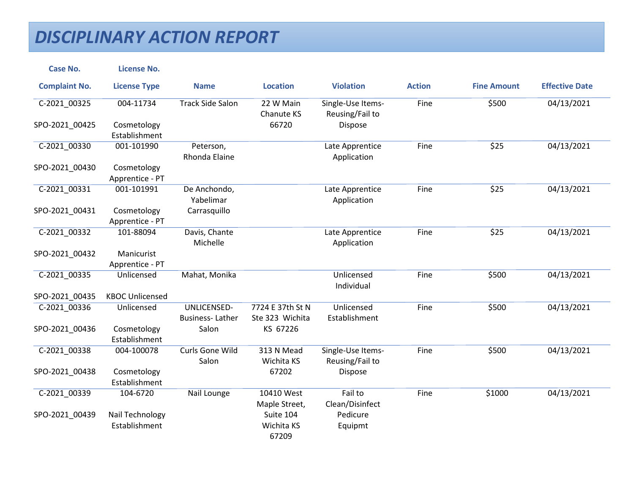| <b>Case No.</b>      | <b>License No.</b>               |                                       |                                     |                                      |               |                    |                       |
|----------------------|----------------------------------|---------------------------------------|-------------------------------------|--------------------------------------|---------------|--------------------|-----------------------|
| <b>Complaint No.</b> | <b>License Type</b>              | <b>Name</b>                           | <b>Location</b>                     | <b>Violation</b>                     | <b>Action</b> | <b>Fine Amount</b> | <b>Effective Date</b> |
| C-2021_00325         | 004-11734                        | <b>Track Side Salon</b>               | 22 W Main<br>Chanute KS             | Single-Use Items-<br>Reusing/Fail to | Fine          | \$500              | 04/13/2021            |
| SPO-2021 00425       | Cosmetology<br>Establishment     |                                       | 66720                               | Dispose                              |               |                    |                       |
| C-2021_00330         | 001-101990                       | Peterson,<br>Rhonda Elaine            |                                     | Late Apprentice<br>Application       | Fine          | \$25               | 04/13/2021            |
| SPO-2021_00430       | Cosmetology<br>Apprentice - PT   |                                       |                                     |                                      |               |                    |                       |
| C-2021 00331         | 001-101991                       | De Anchondo,<br>Yabelimar             |                                     | Late Apprentice<br>Application       | Fine          | \$25               | 04/13/2021            |
| SPO-2021_00431       | Cosmetology<br>Apprentice - PT   | Carrasquillo                          |                                     |                                      |               |                    |                       |
| C-2021 00332         | 101-88094                        | Davis, Chante<br>Michelle             |                                     | Late Apprentice<br>Application       | Fine          | \$25               | 04/13/2021            |
| SPO-2021_00432       | Manicurist<br>Apprentice - PT    |                                       |                                     |                                      |               |                    |                       |
| C-2021_00335         | Unlicensed                       | Mahat, Monika                         |                                     | Unlicensed<br>Individual             | Fine          | \$500              | 04/13/2021            |
| SPO-2021 00435       | <b>KBOC Unlicensed</b>           |                                       |                                     |                                      |               |                    |                       |
| C-2021_00336         | Unlicensed                       | UNLICENSED-<br><b>Business-Lather</b> | 7724 E 37th St N<br>Ste 323 Wichita | Unlicensed<br>Establishment          | Fine          | \$500              | 04/13/2021            |
| SPO-2021 00436       | Cosmetology<br>Establishment     | Salon                                 | KS 67226                            |                                      |               |                    |                       |
| C-2021 00338         | 004-100078                       | Curls Gone Wild<br>Salon              | 313 N Mead<br>Wichita KS            | Single-Use Items-<br>Reusing/Fail to | Fine          | \$500              | 04/13/2021            |
| SPO-2021_00438       | Cosmetology<br>Establishment     |                                       | 67202                               | Dispose                              |               |                    |                       |
| C-2021 00339         | 104-6720                         | Nail Lounge                           | 10410 West<br>Maple Street,         | Fail to<br>Clean/Disinfect           | Fine          | \$1000             | 04/13/2021            |
| SPO-2021_00439       | Nail Technology<br>Establishment |                                       | Suite 104<br>Wichita KS<br>67209    | Pedicure<br>Equipmt                  |               |                    |                       |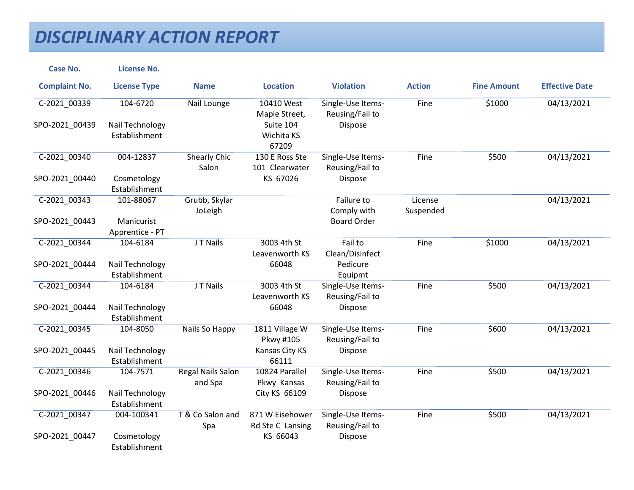| <b>Case No.</b>      | <b>License No.</b>               |                                     |                                     |                                      |                      |                    |                       |
|----------------------|----------------------------------|-------------------------------------|-------------------------------------|--------------------------------------|----------------------|--------------------|-----------------------|
| <b>Complaint No.</b> | <b>License Type</b>              | <b>Name</b>                         | <b>Location</b>                     | <b>Violation</b>                     | <b>Action</b>        | <b>Fine Amount</b> | <b>Effective Date</b> |
| C-2021_00339         | 104-6720                         | Nail Lounge                         | 10410 West<br>Maple Street,         | Single-Use Items-<br>Reusing/Fail to | Fine                 | \$1000             | 04/13/2021            |
| SPO-2021_00439       | Nail Technology<br>Establishment |                                     | Suite 104<br>Wichita KS<br>67209    | Dispose                              |                      |                    |                       |
| C-2021_00340         | 004-12837                        | <b>Shearly Chic</b><br>Salon        | 130 E Ross Ste<br>101 Clearwater    | Single-Use Items-<br>Reusing/Fail to | Fine                 | \$500              | 04/13/2021            |
| SPO-2021_00440       | Cosmetology<br>Establishment     |                                     | KS 67026                            | Dispose                              |                      |                    |                       |
| C-2021_00343         | 101-88067                        | Grubb, Skylar<br>JoLeigh            |                                     | Failure to<br>Comply with            | License<br>Suspended |                    | 04/13/2021            |
| SPO-2021_00443       | Manicurist<br>Apprentice - PT    |                                     |                                     | <b>Board Order</b>                   |                      |                    |                       |
| C-2021 00344         | 104-6184                         | J T Nails                           | 3003 4th St<br>Leavenworth KS       | Fail to<br>Clean/Disinfect           | Fine                 | \$1000             | 04/13/2021            |
| SPO-2021_00444       | Nail Technology<br>Establishment |                                     | 66048                               | Pedicure<br>Equipmt                  |                      |                    |                       |
| C-2021 00344         | 104-6184                         | J T Nails                           | 3003 4th St<br>Leavenworth KS       | Single-Use Items-<br>Reusing/Fail to | Fine                 | \$500              | 04/13/2021            |
| SPO-2021 00444       | Nail Technology<br>Establishment |                                     | 66048                               | <b>Dispose</b>                       |                      |                    |                       |
| C-2021_00345         | 104-8050                         | Nails So Happy                      | 1811 Village W<br>Pkwy #105         | Single-Use Items-<br>Reusing/Fail to | Fine                 | \$600              | 04/13/2021            |
| SPO-2021_00445       | Nail Technology<br>Establishment |                                     | Kansas City KS<br>66111             | Dispose                              |                      |                    |                       |
| C-2021 00346         | 104-7571                         | <b>Regal Nails Salon</b><br>and Spa | 10824 Parallel<br>Pkwy Kansas       | Single-Use Items-<br>Reusing/Fail to | Fine                 | \$500              | 04/13/2021            |
| SPO-2021_00446       | Nail Technology<br>Establishment |                                     | City KS 66109                       | Dispose                              |                      |                    |                       |
| C-2021 00347         | 004-100341                       | T & Co Salon and<br>Spa             | 871 W Eisehower<br>Rd Ste C Lansing | Single-Use Items-<br>Reusing/Fail to | Fine                 | \$500              | 04/13/2021            |
| SPO-2021_00447       | Cosmetology<br>Establishment     |                                     | KS 66043                            | Dispose                              |                      |                    |                       |